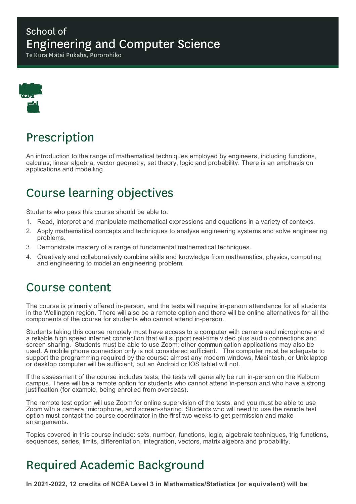### School of Engineering and Computer Science

Te Kura Mātai Pūkaha, Pūrorohiko



# Prescription

An introduction to the range of mathematical techniques employed by engineers, including functions, calculus, linear algebra, vector geometry, set theory, logic and probability. There is an emphasis on applications and modelling.

## Course learning objectives

Students who pass this course should be able to:

- 1. Read, interpret and manipulate mathematical expressions and equations in a variety of contexts.
- 2. Apply mathematical concepts and techniques to analyse engineering systems and solve engineering problems.
- 3. Demonstrate mastery of a range of fundamental mathematical techniques.
- 4. Creatively and collaboratively combine skills and knowledge from mathematics, physics, computing and engineering to model an engineering problem.

## Course content

The course is primarily offered in-person, and the tests will require in-person attendance for all students in the Wellington region. There will also be a remote option and there will be online alternatives for all the components of the course for students who cannot attend in-person.

Students taking this course remotely must have access to a computer with camera and microphone and a reliable high speed internet connection that will support real-time video plus audio connections and screen sharing. Students must be able to use Zoom; other communication applications may also be used. A mobile phone connection only is not considered sufficient. The computer must be adequate to support the programming required by the course: almost any modern windows, Macintosh, or Unix laptop or desktop computer will be sufficient, but an Android or IOS tablet will not.

If the assessment of the course includes tests, the tests will generally be run in-person on the Kelburn campus. There will be a remote option for students who cannot attend in-person and who have a strong justification (for example, being enrolled from overseas).

The remote test option will use Zoom for online supervision of the tests, and you must be able to use Zoom with a camera, microphone, and screen-sharing. Students who will need to use the remote test option must contact the course coordinator in the first two weeks to get permission and make arrangements.

Topics covered in this course include: sets, number, functions, logic, algebraic techniques, trig functions, sequences, series, limits, differentiation, integration, vectors, matrix algebra and probability.

# Required Academic Background

**In 2021-2022, 12 credits of NCEA Level 3 in Mathematics/Statistics (or equivalent) will be**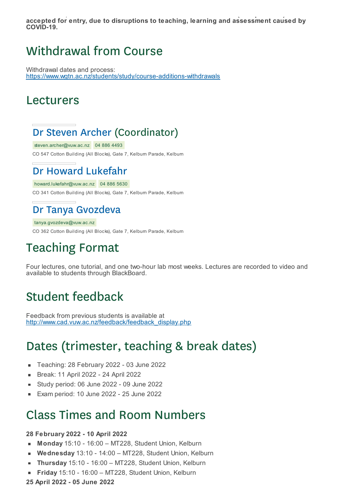**In 2021-2022, 12 credits of NCEA Level 3 in Mathematics/Statistics (or equivalent) will be accepted for entry, due to disruptions to teaching, learning and assessment caused by COVID-19.**

## Withdrawal from Course

Withdrawal dates and process: https://www.wgtn.ac.nz/students/study/course-additions-withdrawals

#### Lecturers

#### Dr Steven Archer (Coordinator)

steven.archer@vuw.ac.nz 04 886 4493 CO 547 Cotton Building (All Blocks), Gate 7, Kelburn Parade, Kelburn

## Dr Howard Lukefahr

howard.lukefahr@vuw.ac.nz 04 886 5630 CO 341 Cotton Building (All Blocks), Gate 7, Kelburn Parade, Kelburn

### Dr Tanya Gvozdeva

tanya.gvozdeva@vuw.ac.nz CO 362 Cotton Building (All Blocks), Gate 7, Kelburn Parade, Kelburn

# Teaching Format

Four lectures, one tutorial, and one two-hour lab most weeks. Lectures are recorded to video and available to students through BlackBoard.

## Student feedback

Feedback from previous students is available at http://www.cad.vuw.ac.nz/feedback/feedback\_display.php

## Dates (trimester, teaching & break dates)

- Teaching: 28 February 2022 03 June 2022  $\blacksquare$
- Break: 11 April 2022 24 April 2022  $\blacksquare$
- Study period: 06 June 2022 09 June 2022
- Exam period: 10 June 2022 25 June 2022  $\blacksquare$

## Class Times and Room Numbers

#### **28 February 2022 - 10 April 2022**

- **Monday** 15:10 16:00 MT228, Student Union, Kelburn
- **Wednesday** 13:10 14:00 MT228, Student Union, Kelburn É
- **Thursday** 15:10 16:00 MT228, Student Union, Kelburn  $\blacksquare$
- **Friday** 15:10 16:00 MT228, Student Union, Kelburn  $\blacksquare$
- **25 April 2022 - 05 June 2022**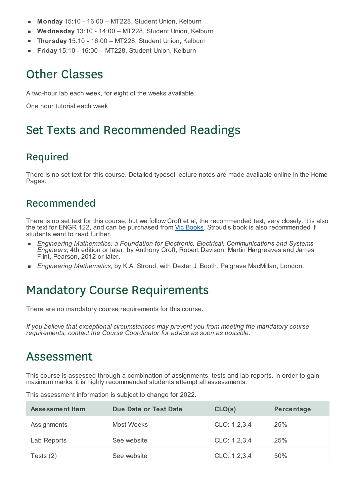- **Monday** 15:10 16:00 MT228, Student Union, Kelburn
- **Wednesday** 13:10 14:00 MT228, Student Union, Kelburn ×
- **Thursday** 15:10 16:00 MT228, Student Union, Kelburn É
- **Friday** 15:10 16:00 MT228, Student Union, Kelburn

## Other Classes

A two-hour lab each week, for eight of the weeks available.

One hour tutorial each week

## Set Texts and Recommended Readings

#### Required

There is no set text for this course. Detailed typeset lecture notes are made available online in the Home Pages.

#### Recommended

There is no set text for this course, but we follow Croft et al, the recommended text, very closely. It is also the text for ENGR 122, and can be purchased from Vic Books. Stroud's book is also recommended if students want to read further.

- *Engineering Mathematics: a Foundation for Electronic, Electrical, Communications and Systems Engineers*, 4th edition or later, by Anthony Croft, Robert Davison, Martin Hargreaves and James Flint, Pearson, 2012 or later.
- *Engineering Mathematics*, by K.A. Stroud, with Dexter J. Booth. Palgrave MacMillan, London.

## Mandatory Course Requirements

There are no mandatory course requirements for this course.

*If you believe that exceptional circumstances may prevent you from meeting the mandatory course requirements, contact the Course Coordinator for advice as soon as possible.*

## Assessment

This course is assessed through a combination of assignments, tests and lab reports. In order to gain maximum marks, it is highly recommended students attempt all assessments.

This assessment information is subject to change for 2022.

| Assessment Item | Due Date or Test Date | CLO(s)       | Percentage |
|-----------------|-----------------------|--------------|------------|
| Assignments     | Most Weeks            | CLO: 1,2,3,4 | 25%        |
| Lab Reports     | See website           | CLO: 1,2,3,4 | 25%        |
| Tests $(2)$     | See website           | CLO: 1,2,3,4 | 50%        |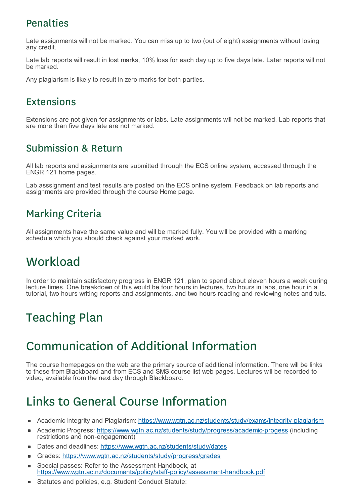### **Penalties**

Late assignments will not be marked. You can miss up to two (out of eight) assignments without losing any credit.

Late lab reports will result in lost marks, 10% loss for each day up to five days late. Later reports will not be marked.

Any plagiarism is likely to result in zero marks for both parties.

## Extensions

Extensions are not given for assignments or labs. Late assignments will not be marked. Lab reports that are more than five days late are not marked.

## Submission & Return

All lab reports and assignments are submitted through the ECS online system, accessed through the ENGR 121 home pages.

Lab,asssignment and test results are posted on the ECS online system. Feedback on lab reports and assignments are provided through the course Home page.

## Marking Criteria

All assignments have the same value and will be marked fully. You will be provided with a marking schedule which you should check against your marked work.

# **Workload**

In order to maintain satisfactory progress in ENGR 121, plan to spend about eleven hours a week during lecture times. One breakdown of this would be four hours in lectures, two hours in labs, one hour in a tutorial, two hours writing reports and assignments, and two hours reading and reviewing notes and tuts.

# Teaching Plan

# Communication of Additional Information

The course homepages on the web are the primary source of additional information. There will be links to these from Blackboard and from ECS and SMS course list web pages. Lectures will be recorded to video, available from the next day through Blackboard.

# Links to General Course Information

- Academic Integrity and Plagiarism: https://www.wgtn.ac.nz/students/study/exams/integrity-plagiarism  $\blacksquare$
- Academic Progress: https://www.wgtn.ac.nz/students/study/progress/academic-progess (including  $\blacksquare$ restrictions and non-engagement)
- Dates and deadlines: https://www.wgtn.ac.nz/students/study/dates
- Grades: https://www.wgtn.ac.nz/students/study/progress/grades  $\blacksquare$
- Special passes: Refer to the Assessment Handbook, at https://www.wgtn.ac.nz/documents/policy/staff-policy/assessment-handbook.pdf
- Statutes and policies, e.g. Student Conduct Statute: